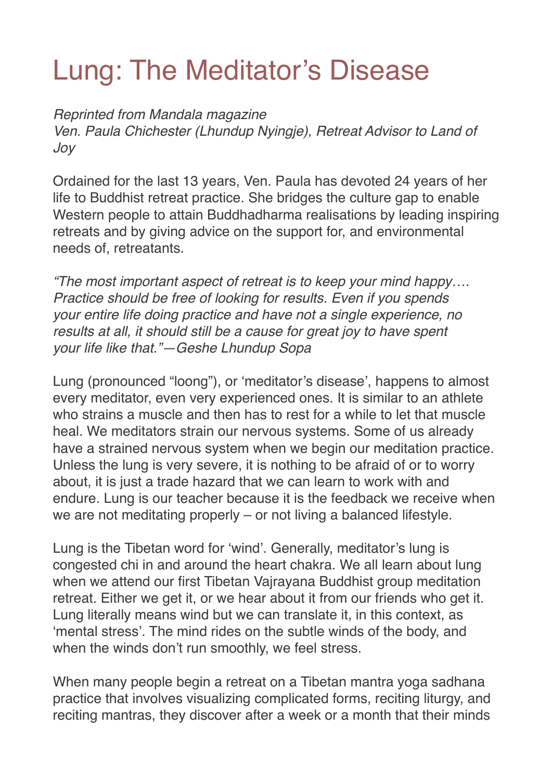## Lung: The Meditator's Disease

*Reprinted from Mandala magazine*

*Ven. Paula Chichester (Lhundup Nyingje), Retreat Advisor to Land of Joy*

Ordained for the last 13 years, Ven. Paula has devoted 24 years of her life to Buddhist retreat practice. She bridges the culture gap to enable Western people to attain Buddhadharma realisations by leading inspiring retreats and by giving advice on the support for, and environmental needs of, retreatants.

*"The most important aspect of retreat is to keep your mind happy…. Practice should be free of looking for results. Even if you spends your entire life doing practice and have not a single experience, no results at all, it should still be a cause for great joy to have spent your life like that."—Geshe Lhundup Sopa*

Lung (pronounced "loong"), or 'meditator's disease', happens to almost every meditator, even very experienced ones. It is similar to an athlete who strains a muscle and then has to rest for a while to let that muscle heal. We meditators strain our nervous systems. Some of us already have a strained nervous system when we begin our meditation practice. Unless the lung is very severe, it is nothing to be afraid of or to worry about, it is just a trade hazard that we can learn to work with and endure. Lung is our teacher because it is the feedback we receive when we are not meditating properly – or not living a balanced lifestyle.

Lung is the Tibetan word for 'wind'. Generally, meditator's lung is congested chi in and around the heart chakra. We all learn about lung when we attend our first Tibetan Vajrayana Buddhist group meditation retreat. Either we get it, or we hear about it from our friends who get it. Lung literally means wind but we can translate it, in this context, as 'mental stress'. The mind rides on the subtle winds of the body, and when the winds don't run smoothly, we feel stress.

When many people begin a retreat on a Tibetan mantra yoga sadhana practice that involves visualizing complicated forms, reciting liturgy, and reciting mantras, they discover after a week or a month that their minds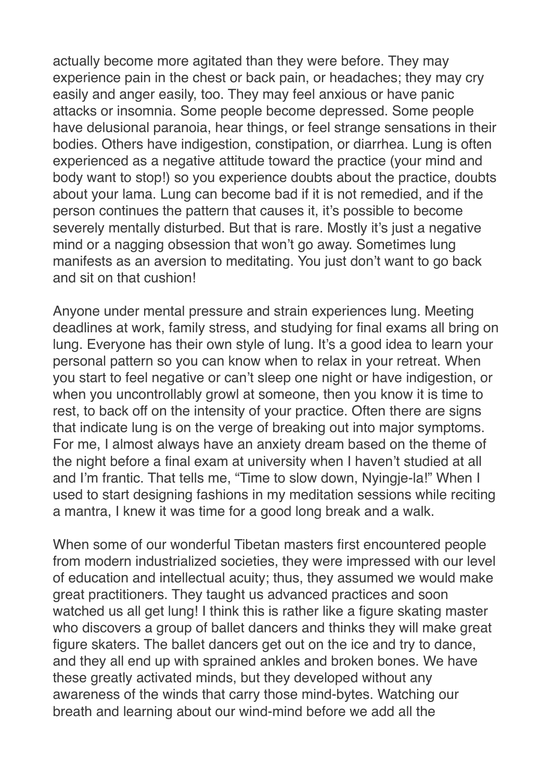actually become more agitated than they were before. They may experience pain in the chest or back pain, or headaches; they may cry easily and anger easily, too. They may feel anxious or have panic attacks or insomnia. Some people become depressed. Some people have delusional paranoia, hear things, or feel strange sensations in their bodies. Others have indigestion, constipation, or diarrhea. Lung is often experienced as a negative attitude toward the practice (your mind and body want to stop!) so you experience doubts about the practice, doubts about your lama. Lung can become bad if it is not remedied, and if the person continues the pattern that causes it, it's possible to become severely mentally disturbed. But that is rare. Mostly it's just a negative mind or a nagging obsession that won't go away. Sometimes lung manifests as an aversion to meditating. You just don't want to go back and sit on that cushion!

Anyone under mental pressure and strain experiences lung. Meeting deadlines at work, family stress, and studying for final exams all bring on lung. Everyone has their own style of lung. It's a good idea to learn your personal pattern so you can know when to relax in your retreat. When you start to feel negative or can't sleep one night or have indigestion, or when you uncontrollably growl at someone, then you know it is time to rest, to back off on the intensity of your practice. Often there are signs that indicate lung is on the verge of breaking out into major symptoms. For me, I almost always have an anxiety dream based on the theme of the night before a final exam at university when I haven't studied at all and I'm frantic. That tells me, "Time to slow down, Nyingje-la!" When I used to start designing fashions in my meditation sessions while reciting a mantra, I knew it was time for a good long break and a walk.

When some of our wonderful Tibetan masters first encountered people from modern industrialized societies, they were impressed with our level of education and intellectual acuity; thus, they assumed we would make great practitioners. They taught us advanced practices and soon watched us all get lung! I think this is rather like a figure skating master who discovers a group of ballet dancers and thinks they will make great figure skaters. The ballet dancers get out on the ice and try to dance, and they all end up with sprained ankles and broken bones. We have these greatly activated minds, but they developed without any awareness of the winds that carry those mind-bytes. Watching our breath and learning about our wind-mind before we add all the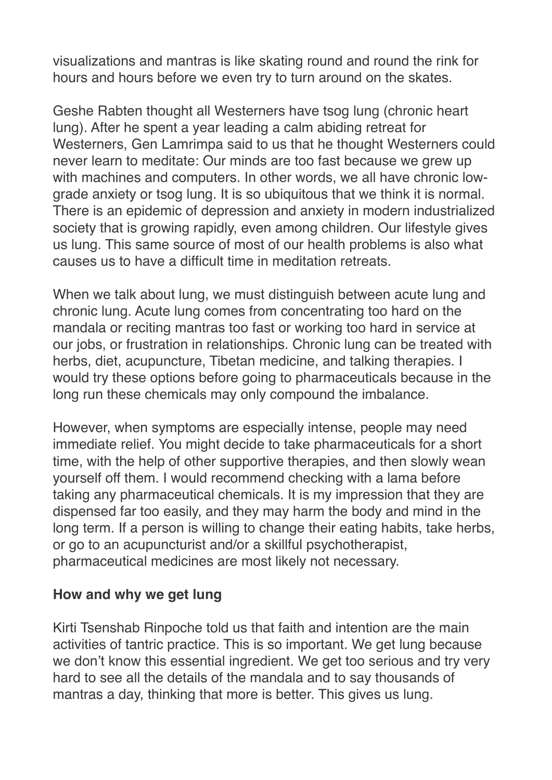visualizations and mantras is like skating round and round the rink for hours and hours before we even try to turn around on the skates.

Geshe Rabten thought all Westerners have tsog lung (chronic heart lung). After he spent a year leading a calm abiding retreat for Westerners, Gen Lamrimpa said to us that he thought Westerners could never learn to meditate: Our minds are too fast because we grew up with machines and computers. In other words, we all have chronic lowgrade anxiety or tsog lung. It is so ubiquitous that we think it is normal. There is an epidemic of depression and anxiety in modern industrialized society that is growing rapidly, even among children. Our lifestyle gives us lung. This same source of most of our health problems is also what causes us to have a difficult time in meditation retreats.

When we talk about lung, we must distinguish between acute lung and chronic lung. Acute lung comes from concentrating too hard on the mandala or reciting mantras too fast or working too hard in service at our jobs, or frustration in relationships. Chronic lung can be treated with herbs, diet, acupuncture, Tibetan medicine, and talking therapies. I would try these options before going to pharmaceuticals because in the long run these chemicals may only compound the imbalance.

However, when symptoms are especially intense, people may need immediate relief. You might decide to take pharmaceuticals for a short time, with the help of other supportive therapies, and then slowly wean yourself off them. I would recommend checking with a lama before taking any pharmaceutical chemicals. It is my impression that they are dispensed far too easily, and they may harm the body and mind in the long term. If a person is willing to change their eating habits, take herbs, or go to an acupuncturist and/or a skillful psychotherapist, pharmaceutical medicines are most likely not necessary.

## **How and why we get lung**

Kirti Tsenshab Rinpoche told us that faith and intention are the main activities of tantric practice. This is so important. We get lung because we don't know this essential ingredient. We get too serious and try very hard to see all the details of the mandala and to say thousands of mantras a day, thinking that more is better. This gives us lung.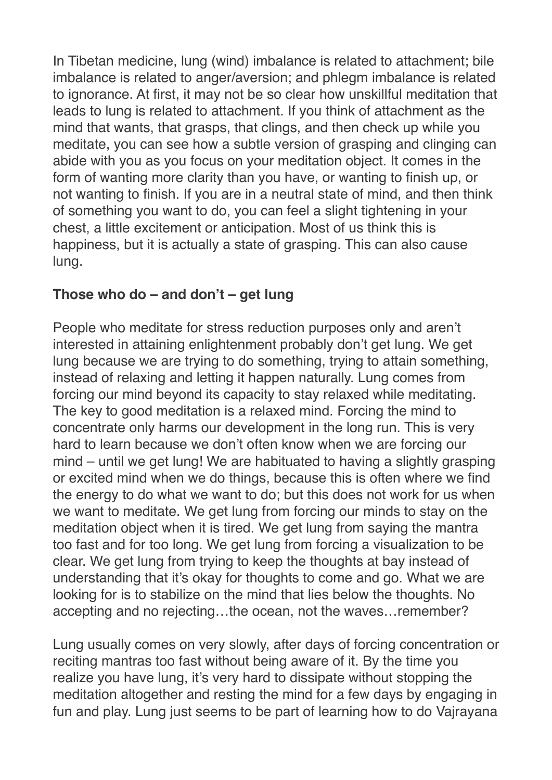In Tibetan medicine, lung (wind) imbalance is related to attachment; bile imbalance is related to anger/aversion; and phlegm imbalance is related to ignorance. At first, it may not be so clear how unskillful meditation that leads to lung is related to attachment. If you think of attachment as the mind that wants, that grasps, that clings, and then check up while you meditate, you can see how a subtle version of grasping and clinging can abide with you as you focus on your meditation object. It comes in the form of wanting more clarity than you have, or wanting to finish up, or not wanting to finish. If you are in a neutral state of mind, and then think of something you want to do, you can feel a slight tightening in your chest, a little excitement or anticipation. Most of us think this is happiness, but it is actually a state of grasping. This can also cause lung.

## **Those who do – and don't – get lung**

People who meditate for stress reduction purposes only and aren't interested in attaining enlightenment probably don't get lung. We get lung because we are trying to do something, trying to attain something, instead of relaxing and letting it happen naturally. Lung comes from forcing our mind beyond its capacity to stay relaxed while meditating. The key to good meditation is a relaxed mind. Forcing the mind to concentrate only harms our development in the long run. This is very hard to learn because we don't often know when we are forcing our mind – until we get lung! We are habituated to having a slightly grasping or excited mind when we do things, because this is often where we find the energy to do what we want to do; but this does not work for us when we want to meditate. We get lung from forcing our minds to stay on the meditation object when it is tired. We get lung from saying the mantra too fast and for too long. We get lung from forcing a visualization to be clear. We get lung from trying to keep the thoughts at bay instead of understanding that it's okay for thoughts to come and go. What we are looking for is to stabilize on the mind that lies below the thoughts. No accepting and no rejecting…the ocean, not the waves…remember?

Lung usually comes on very slowly, after days of forcing concentration or reciting mantras too fast without being aware of it. By the time you realize you have lung, it's very hard to dissipate without stopping the meditation altogether and resting the mind for a few days by engaging in fun and play. Lung just seems to be part of learning how to do Vajrayana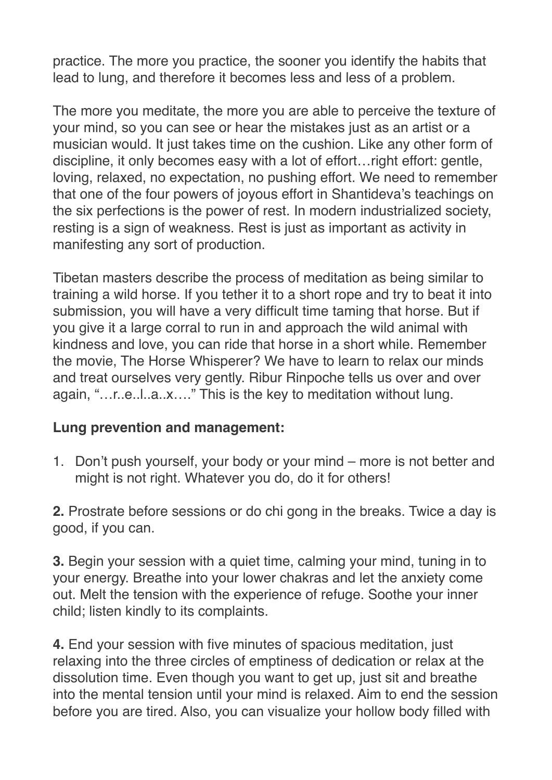practice. The more you practice, the sooner you identify the habits that lead to lung, and therefore it becomes less and less of a problem.

The more you meditate, the more you are able to perceive the texture of your mind, so you can see or hear the mistakes just as an artist or a musician would. It just takes time on the cushion. Like any other form of discipline, it only becomes easy with a lot of effort…right effort: gentle, loving, relaxed, no expectation, no pushing effort. We need to remember that one of the four powers of joyous effort in Shantideva's teachings on the six perfections is the power of rest. In modern industrialized society, resting is a sign of weakness. Rest is just as important as activity in manifesting any sort of production.

Tibetan masters describe the process of meditation as being similar to training a wild horse. If you tether it to a short rope and try to beat it into submission, you will have a very difficult time taming that horse. But if you give it a large corral to run in and approach the wild animal with kindness and love, you can ride that horse in a short while. Remember the movie, The Horse Whisperer? We have to learn to relax our minds and treat ourselves very gently. Ribur Rinpoche tells us over and over again, "…r..e..l..a..x…." This is the key to meditation without lung.

## **Lung prevention and management:**

1. Don't push yourself, your body or your mind – more is not better and might is not right. Whatever you do, do it for others!

**2.** Prostrate before sessions or do chi gong in the breaks. Twice a day is good, if you can.

**3.** Begin your session with a quiet time, calming your mind, tuning in to your energy. Breathe into your lower chakras and let the anxiety come out. Melt the tension with the experience of refuge. Soothe your inner child; listen kindly to its complaints.

**4.** End your session with five minutes of spacious meditation, just relaxing into the three circles of emptiness of dedication or relax at the dissolution time. Even though you want to get up, just sit and breathe into the mental tension until your mind is relaxed. Aim to end the session before you are tired. Also, you can visualize your hollow body filled with